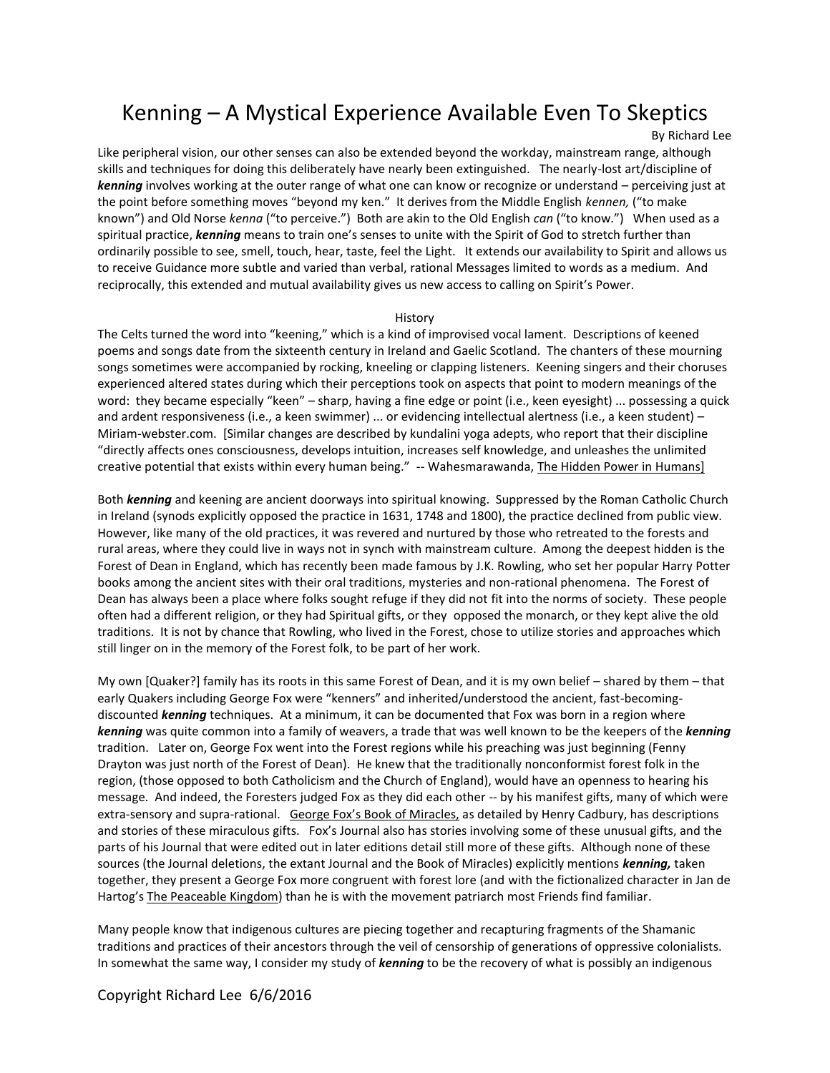# Kenning – A Mystical Experience Available Even To Skeptics

By Richard Lee

Like peripheral vision, our other senses can also be extended beyond the workday, mainstream range, although skills and techniques for doing this deliberately have nearly been extinguished. The nearly-lost art/discipline of *kenning* involves working at the outer range of what one can know or recognize or understand – perceiving just at the point before something moves "beyond my ken." It derives from the Middle English *kennen,* ("to make known") and Old Norse *kenna* ("to perceive.") Both are akin to the Old English *can* ("to know.") When used as a spiritual practice, *kenning* means to train one's senses to unite with the Spirit of God to stretch further than ordinarily possible to see, smell, touch, hear, taste, feel the Light. It extends our availability to Spirit and allows us to receive Guidance more subtle and varied than verbal, rational Messages limited to words as a medium. And reciprocally, this extended and mutual availability gives us new access to calling on Spirit's Power.

#### History

The Celts turned the word into "keening," which is a kind of improvised vocal lament. Descriptions of keened poems and songs date from the sixteenth century in Ireland and Gaelic Scotland. The chanters of these mourning songs sometimes were accompanied by rocking, kneeling or clapping listeners. Keening singers and their choruses experienced altered states during which their perceptions took on aspects that point to modern meanings of the word: they became especially "keen" – sharp, having a fine edge or point (i.e., keen eyesight) ... possessing a quick and ardent responsiveness (i.e., a keen swimmer) ... or evidencing intellectual alertness (i.e., a keen student) – Miriam-webster.com. [Similar changes are described by kundalini yoga adepts, who report that their discipline "directly affects ones consciousness, develops intuition, increases self knowledge, and unleashes the unlimited creative potential that exists within every human being." -- Wahesmarawanda, The Hidden Power in Humans]

Both *kenning* and keening are ancient doorways into spiritual knowing. Suppressed by the Roman Catholic Church in Ireland (synods explicitly opposed the practice in 1631, 1748 and 1800), the practice declined from public view. However, like many of the old practices, it was revered and nurtured by those who retreated to the forests and rural areas, where they could live in ways not in synch with mainstream culture. Among the deepest hidden is the Forest of Dean in England, which has recently been made famous by J.K. Rowling, who set her popular Harry Potter books among the ancient sites with their oral traditions, mysteries and non-rational phenomena. The Forest of Dean has always been a place where folks sought refuge if they did not fit into the norms of society. These people often had a different religion, or they had Spiritual gifts, or they opposed the monarch, or they kept alive the old traditions. It is not by chance that Rowling, who lived in the Forest, chose to utilize stories and approaches which still linger on in the memory of the Forest folk, to be part of her work.

My own [Quaker?] family has its roots in this same Forest of Dean, and it is my own belief – shared by them – that early Quakers including George Fox were "kenners" and inherited/understood the ancient, fast-becomingdiscounted *kenning* techniques. At a minimum, it can be documented that Fox was born in a region where *kenning* was quite common into a family of weavers, a trade that was well known to be the keepers of the *kenning* tradition. Later on, George Fox went into the Forest regions while his preaching was just beginning (Fenny Drayton was just north of the Forest of Dean). He knew that the traditionally nonconformist forest folk in the region, (those opposed to both Catholicism and the Church of England), would have an openness to hearing his message. And indeed, the Foresters judged Fox as they did each other -- by his manifest gifts, many of which were extra-sensory and supra-rational. George Fox's Book of Miracles, as detailed by Henry Cadbury, has descriptions and stories of these miraculous gifts. Fox's Journal also has stories involving some of these unusual gifts, and the parts of his Journal that were edited out in later editions detail still more of these gifts. Although none of these sources (the Journal deletions, the extant Journal and the Book of Miracles) explicitly mentions *kenning,* taken together, they present a George Fox more congruent with forest lore (and with the fictionalized character in Jan de Hartog's The Peaceable Kingdom) than he is with the movement patriarch most Friends find familiar.

Many people know that indigenous cultures are piecing together and recapturing fragments of the Shamanic traditions and practices of their ancestors through the veil of censorship of generations of oppressive colonialists. In somewhat the same way, I consider my study of *kenning* to be the recovery of what is possibly an indigenous

Copyright Richard Lee 6/6/2016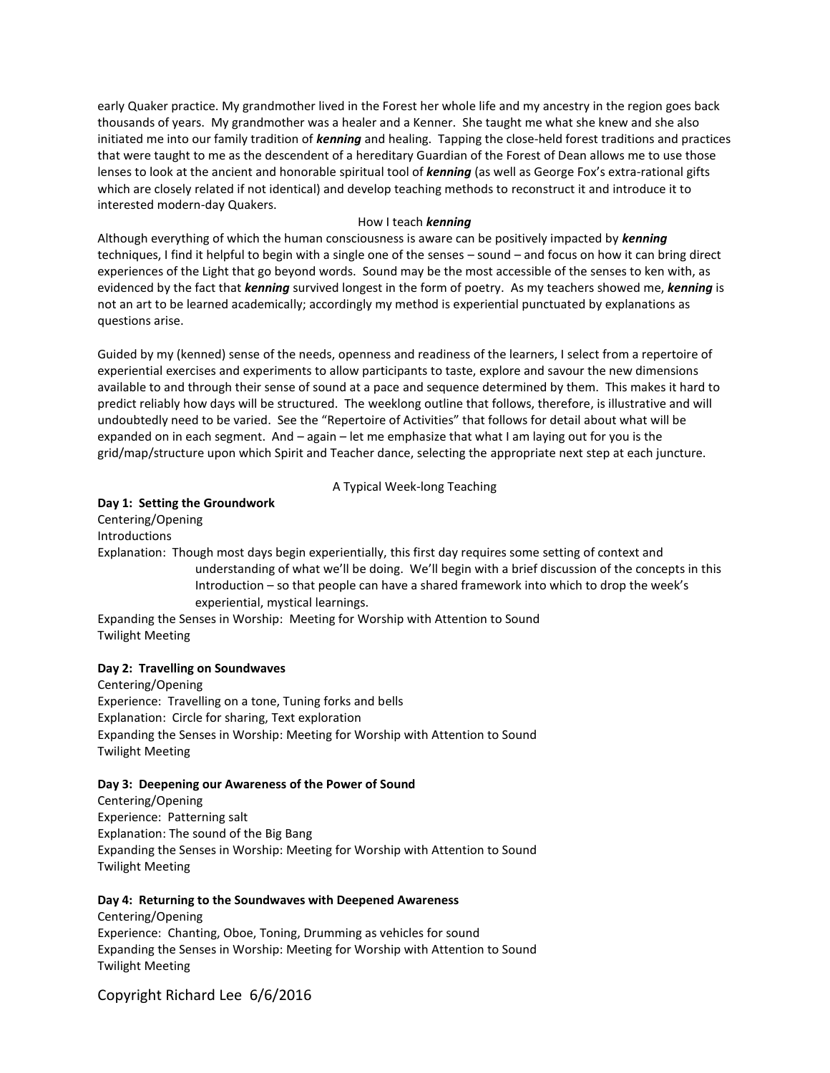early Quaker practice. My grandmother lived in the Forest her whole life and my ancestry in the region goes back thousands of years. My grandmother was a healer and a Kenner. She taught me what she knew and she also initiated me into our family tradition of *kenning* and healing. Tapping the close-held forest traditions and practices that were taught to me as the descendent of a hereditary Guardian of the Forest of Dean allows me to use those lenses to look at the ancient and honorable spiritual tool of *kenning* (as well as George Fox's extra-rational gifts which are closely related if not identical) and develop teaching methods to reconstruct it and introduce it to interested modern-day Quakers.

#### How I teach *kenning*

Although everything of which the human consciousness is aware can be positively impacted by *kenning* techniques, I find it helpful to begin with a single one of the senses – sound – and focus on how it can bring direct experiences of the Light that go beyond words. Sound may be the most accessible of the senses to ken with, as evidenced by the fact that *kenning* survived longest in the form of poetry. As my teachers showed me, *kenning* is not an art to be learned academically; accordingly my method is experiential punctuated by explanations as questions arise.

Guided by my (kenned) sense of the needs, openness and readiness of the learners, I select from a repertoire of experiential exercises and experiments to allow participants to taste, explore and savour the new dimensions available to and through their sense of sound at a pace and sequence determined by them. This makes it hard to predict reliably how days will be structured. The weeklong outline that follows, therefore, is illustrative and will undoubtedly need to be varied. See the "Repertoire of Activities" that follows for detail about what will be expanded on in each segment. And – again – let me emphasize that what I am laying out for you is the grid/map/structure upon which Spirit and Teacher dance, selecting the appropriate next step at each juncture.

## A Typical Week-long Teaching

## **Day 1: Setting the Groundwork**

Centering/Opening Introductions Explanation: Though most days begin experientially, this first day requires some setting of context and understanding of what we'll be doing. We'll begin with a brief discussion of the concepts in this Introduction – so that people can have a shared framework into which to drop the week's experiential, mystical learnings. Expanding the Senses in Worship: Meeting for Worship with Attention to Sound

Twilight Meeting

## **Day 2: Travelling on Soundwaves**

Centering/Opening Experience: Travelling on a tone, Tuning forks and bells Explanation: Circle for sharing, Text exploration Expanding the Senses in Worship: Meeting for Worship with Attention to Sound Twilight Meeting

#### **Day 3: Deepening our Awareness of the Power of Sound**

Centering/Opening Experience: Patterning salt Explanation: The sound of the Big Bang Expanding the Senses in Worship: Meeting for Worship with Attention to Sound Twilight Meeting

#### **Day 4: Returning to the Soundwaves with Deepened Awareness**

Centering/Opening Experience: Chanting, Oboe, Toning, Drumming as vehicles for sound Expanding the Senses in Worship: Meeting for Worship with Attention to Sound Twilight Meeting

## Copyright Richard Lee 6/6/2016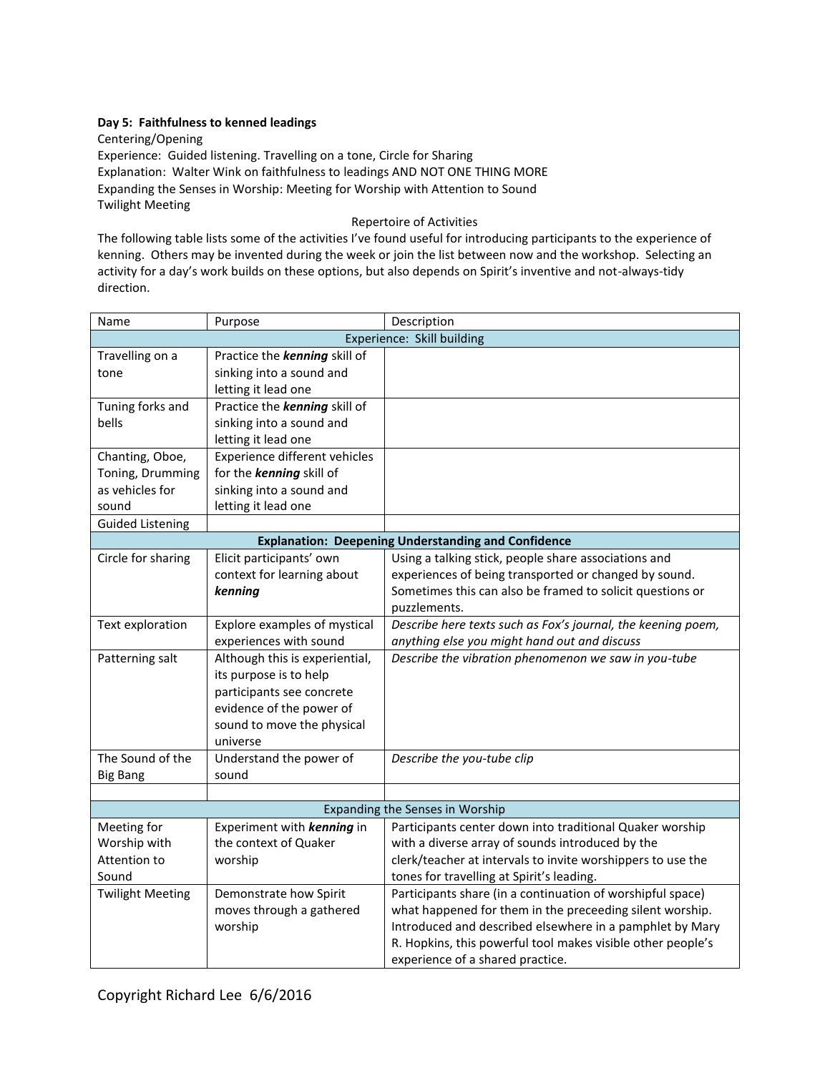## **Day 5: Faithfulness to kenned leadings**

Centering/Opening Experience: Guided listening. Travelling on a tone, Circle for Sharing Explanation: Walter Wink on faithfulness to leadings AND NOT ONE THING MORE Expanding the Senses in Worship: Meeting for Worship with Attention to Sound Twilight Meeting

Repertoire of Activities

The following table lists some of the activities I've found useful for introducing participants to the experience of kenning. Others may be invented during the week or join the list between now and the workshop. Selecting an activity for a day's work builds on these options, but also depends on Spirit's inventive and not-always-tidy direction.

| Name                                                       | Purpose                        | Description                                                  |
|------------------------------------------------------------|--------------------------------|--------------------------------------------------------------|
| Experience: Skill building                                 |                                |                                                              |
| Travelling on a                                            | Practice the kenning skill of  |                                                              |
| tone                                                       | sinking into a sound and       |                                                              |
|                                                            | letting it lead one            |                                                              |
| Tuning forks and                                           | Practice the kenning skill of  |                                                              |
| bells                                                      | sinking into a sound and       |                                                              |
|                                                            | letting it lead one            |                                                              |
| Chanting, Oboe,                                            | Experience different vehicles  |                                                              |
| Toning, Drumming                                           | for the kenning skill of       |                                                              |
| as vehicles for                                            | sinking into a sound and       |                                                              |
| sound                                                      | letting it lead one            |                                                              |
| <b>Guided Listening</b>                                    |                                |                                                              |
| <b>Explanation: Deepening Understanding and Confidence</b> |                                |                                                              |
| Circle for sharing                                         | Elicit participants' own       | Using a talking stick, people share associations and         |
|                                                            | context for learning about     | experiences of being transported or changed by sound.        |
|                                                            | kenning                        | Sometimes this can also be framed to solicit questions or    |
|                                                            |                                | puzzlements.                                                 |
| Text exploration                                           | Explore examples of mystical   | Describe here texts such as Fox's journal, the keening poem, |
|                                                            | experiences with sound         | anything else you might hand out and discuss                 |
| Patterning salt                                            | Although this is experiential, | Describe the vibration phenomenon we saw in you-tube         |
|                                                            | its purpose is to help         |                                                              |
|                                                            | participants see concrete      |                                                              |
|                                                            | evidence of the power of       |                                                              |
|                                                            | sound to move the physical     |                                                              |
|                                                            | universe                       |                                                              |
| The Sound of the                                           | Understand the power of        | Describe the you-tube clip                                   |
| <b>Big Bang</b>                                            | sound                          |                                                              |
|                                                            |                                |                                                              |
| Expanding the Senses in Worship                            |                                |                                                              |
| Meeting for                                                | Experiment with kenning in     | Participants center down into traditional Quaker worship     |
| Worship with                                               | the context of Quaker          | with a diverse array of sounds introduced by the             |
| Attention to                                               | worship                        | clerk/teacher at intervals to invite worshippers to use the  |
| Sound                                                      |                                | tones for travelling at Spirit's leading.                    |
| <b>Twilight Meeting</b>                                    | Demonstrate how Spirit         | Participants share (in a continuation of worshipful space)   |
|                                                            | moves through a gathered       | what happened for them in the preceeding silent worship.     |
|                                                            | worship                        | Introduced and described elsewhere in a pamphlet by Mary     |
|                                                            |                                | R. Hopkins, this powerful tool makes visible other people's  |
|                                                            |                                | experience of a shared practice.                             |